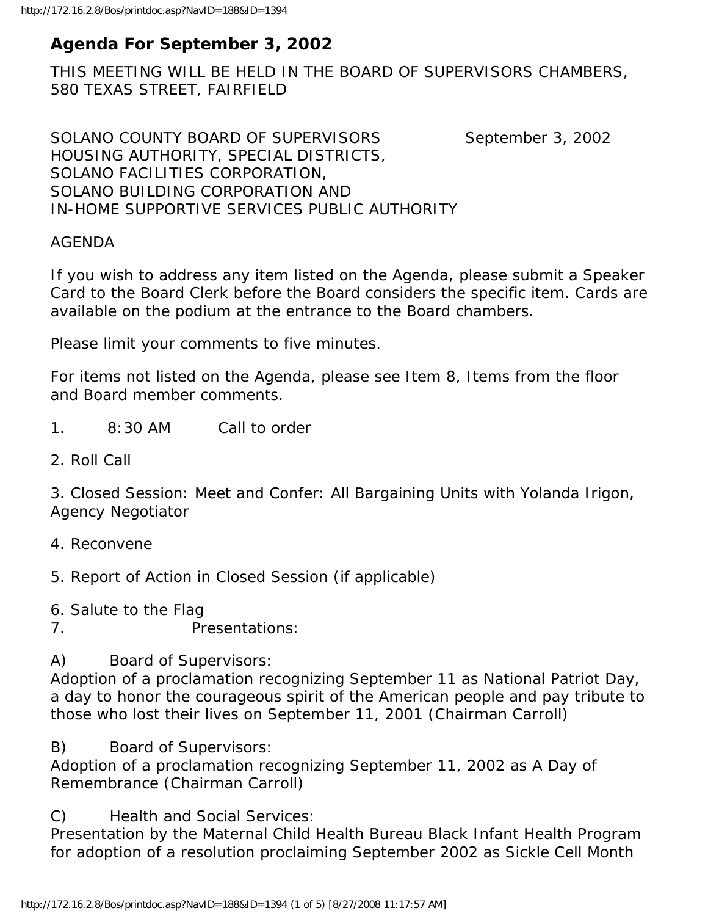# **Agenda For September 3, 2002**

THIS MEETING WILL BE HELD IN THE BOARD OF SUPERVISORS CHAMBERS, 580 TEXAS STREET, FAIRFIELD

SOLANO COUNTY BOARD OF SUPERVISORS September 3, 2002 HOUSING AUTHORITY, SPECIAL DISTRICTS, SOLANO FACILITIES CORPORATION, SOLANO BUILDING CORPORATION AND IN-HOME SUPPORTIVE SERVICES PUBLIC AUTHORITY

### AGENDA

If you wish to address any item listed on the Agenda, please submit a Speaker Card to the Board Clerk before the Board considers the specific item. Cards are available on the podium at the entrance to the Board chambers.

Please limit your comments to five minutes.

For items not listed on the Agenda, please see Item 8, Items from the floor and Board member comments.

- 1. 8:30 AM Call to order
- 2. Roll Call

3. Closed Session: Meet and Confer: All Bargaining Units with Yolanda Irigon, Agency Negotiator

- 4. Reconvene
- 5. Report of Action in Closed Session (if applicable)
- 6. Salute to the Flag
- 7. Presentations:

A) Board of Supervisors:

Adoption of a proclamation recognizing September 11 as National Patriot Day, a day to honor the courageous spirit of the American people and pay tribute to those who lost their lives on September 11, 2001 (Chairman Carroll)

B) Board of Supervisors:

Adoption of a proclamation recognizing September 11, 2002 as A Day of Remembrance (Chairman Carroll)

C) Health and Social Services:

Presentation by the Maternal Child Health Bureau Black Infant Health Program for adoption of a resolution proclaiming September 2002 as Sickle Cell Month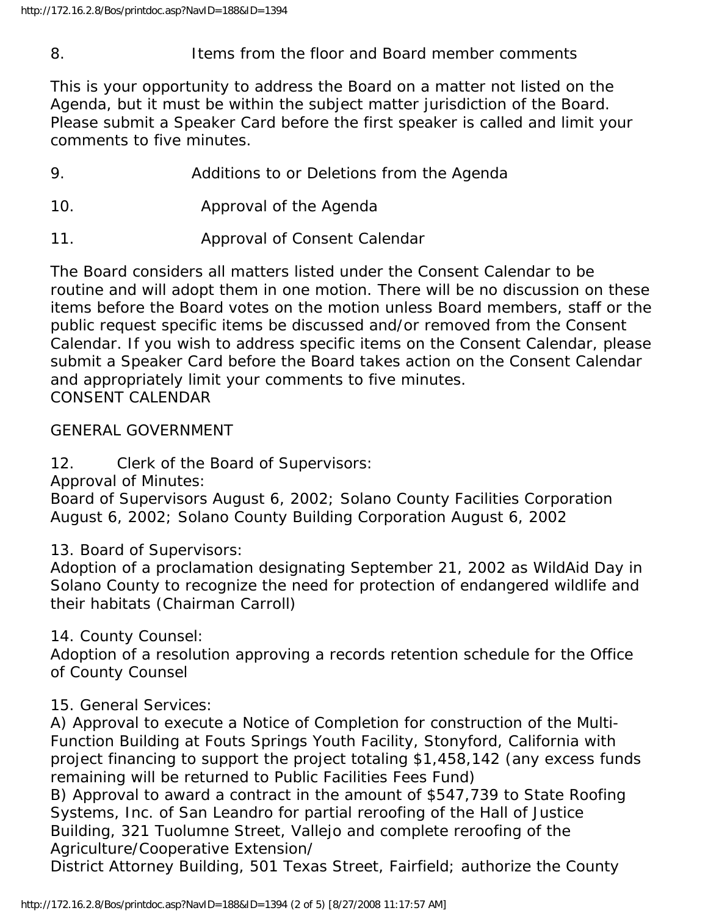8. Items from the floor and Board member comments

This is your opportunity to address the Board on a matter not listed on the Agenda, but it must be within the subject matter jurisdiction of the Board. Please submit a Speaker Card before the first speaker is called and limit your comments to five minutes.

- 9. Additions to or Deletions from the Agenda
- 10. Approval of the Agenda
- 11. Approval of Consent Calendar

The Board considers all matters listed under the Consent Calendar to be routine and will adopt them in one motion. There will be no discussion on these items before the Board votes on the motion unless Board members, staff or the public request specific items be discussed and/or removed from the Consent Calendar. If you wish to address specific items on the Consent Calendar, please submit a Speaker Card before the Board takes action on the Consent Calendar and appropriately limit your comments to five minutes. CONSENT CALENDAR

GENERAL GOVERNMENT

12. Clerk of the Board of Supervisors:

Approval of Minutes:

Board of Supervisors August 6, 2002; Solano County Facilities Corporation August 6, 2002; Solano County Building Corporation August 6, 2002

13. Board of Supervisors:

Adoption of a proclamation designating September 21, 2002 as WildAid Day in Solano County to recognize the need for protection of endangered wildlife and their habitats (Chairman Carroll)

14. County Counsel:

Adoption of a resolution approving a records retention schedule for the Office of County Counsel

## 15. General Services:

A) Approval to execute a Notice of Completion for construction of the Multi-Function Building at Fouts Springs Youth Facility, Stonyford, California with project financing to support the project totaling \$1,458,142 (any excess funds remaining will be returned to Public Facilities Fees Fund)

B) Approval to award a contract in the amount of \$547,739 to State Roofing Systems, Inc. of San Leandro for partial reroofing of the Hall of Justice Building, 321 Tuolumne Street, Vallejo and complete reroofing of the Agriculture/Cooperative Extension/

District Attorney Building, 501 Texas Street, Fairfield; authorize the County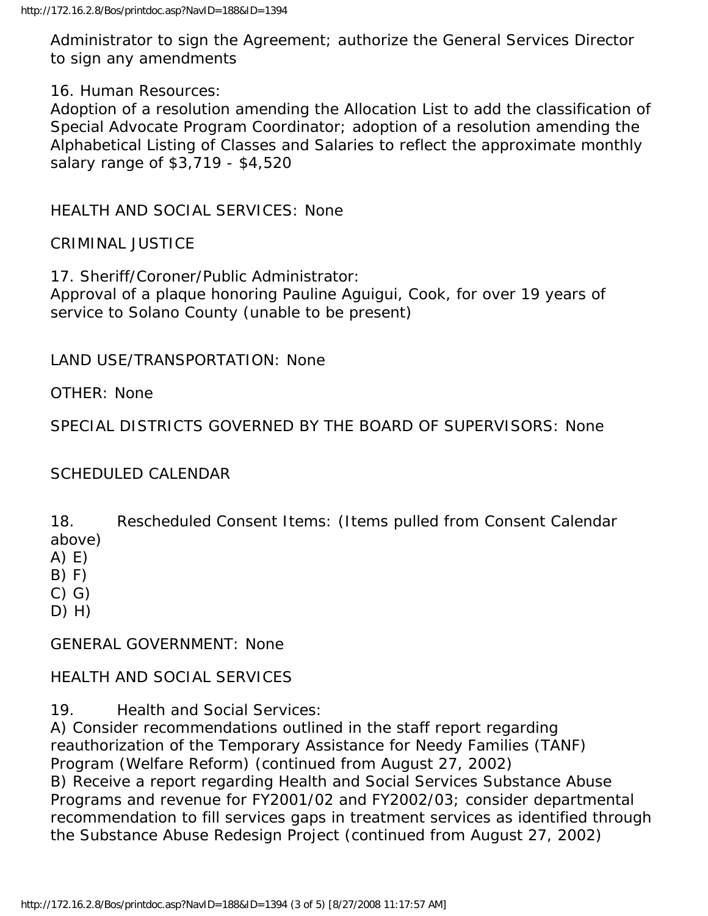Administrator to sign the Agreement; authorize the General Services Director to sign any amendments

16. Human Resources:

Adoption of a resolution amending the Allocation List to add the classification of Special Advocate Program Coordinator; adoption of a resolution amending the Alphabetical Listing of Classes and Salaries to reflect the approximate monthly salary range of \$3,719 - \$4,520

HEALTH AND SOCIAL SERVICES: None

CRIMINAL JUSTICE

17. Sheriff/Coroner/Public Administrator: Approval of a plaque honoring Pauline Aguigui, Cook, for over 19 years of service to Solano County (unable to be present)

LAND USE/TRANSPORTATION: None

OTHER: None

SPECIAL DISTRICTS GOVERNED BY THE BOARD OF SUPERVISORS: None

### SCHEDULED CALENDAR

18. Rescheduled Consent Items: (Items pulled from Consent Calendar above)

A) E)

 $B) F)$ 

C) G)

D) H)

GENERAL GOVERNMENT: None

### HEALTH AND SOCIAL SERVICES

19. Health and Social Services:

A) Consider recommendations outlined in the staff report regarding reauthorization of the Temporary Assistance for Needy Families (TANF) Program (Welfare Reform) (continued from August 27, 2002) B) Receive a report regarding Health and Social Services Substance Abuse Programs and revenue for FY2001/02 and FY2002/03; consider departmental recommendation to fill services gaps in treatment services as identified through the Substance Abuse Redesign Project (continued from August 27, 2002)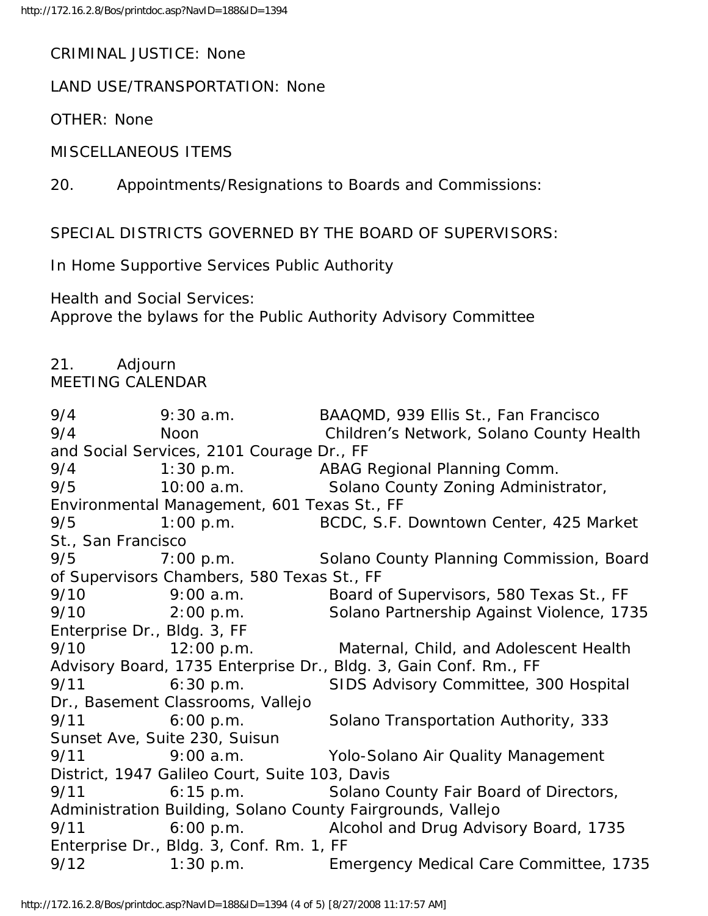CRIMINAL JUSTICE: None

LAND USE/TRANSPORTATION: None

OTHER: None

MISCELLANEOUS ITEMS

20. Appointments/Resignations to Boards and Commissions:

SPECIAL DISTRICTS GOVERNED BY THE BOARD OF SUPERVISORS:

In Home Supportive Services Public Authority

Health and Social Services:

Approve the bylaws for the Public Authority Advisory Committee

#### 21. Adjourn MEETING CALENDAR

9/4 9:30 a.m. BAAQMD, 939 Ellis St., Fan Francisco 9/4 Noon Children's Network, Solano County Health and Social Services, 2101 Courage Dr., FF 9/4 1:30 p.m. ABAG Regional Planning Comm. 9/5 10:00 a.m. Solano County Zoning Administrator, Environmental Management, 601 Texas St., FF 9/5 1:00 p.m. BCDC, S.F. Downtown Center, 425 Market St., San Francisco 9/5 7:00 p.m. Solano County Planning Commission, Board of Supervisors Chambers, 580 Texas St., FF 9/10 9:00 a.m. Board of Supervisors, 580 Texas St., FF 9/10 2:00 p.m. Solano Partnership Against Violence, 1735 Enterprise Dr., Bldg. 3, FF 9/10 12:00 p.m. Maternal, Child, and Adolescent Health Advisory Board, 1735 Enterprise Dr., Bldg. 3, Gain Conf. Rm., FF 9/11 6:30 p.m. SIDS Advisory Committee, 300 Hospital Dr., Basement Classrooms, Vallejo 9/11 6:00 p.m. Solano Transportation Authority, 333 Sunset Ave, Suite 230, Suisun 9/11 9:00 a.m. Yolo-Solano Air Quality Management District, 1947 Galileo Court, Suite 103, Davis 9/11 6:15 p.m. Solano County Fair Board of Directors, Administration Building, Solano County Fairgrounds, Vallejo 9/11 6:00 p.m. Alcohol and Drug Advisory Board, 1735 Enterprise Dr., Bldg. 3, Conf. Rm. 1, FF 9/12 1:30 p.m. Emergency Medical Care Committee, 1735